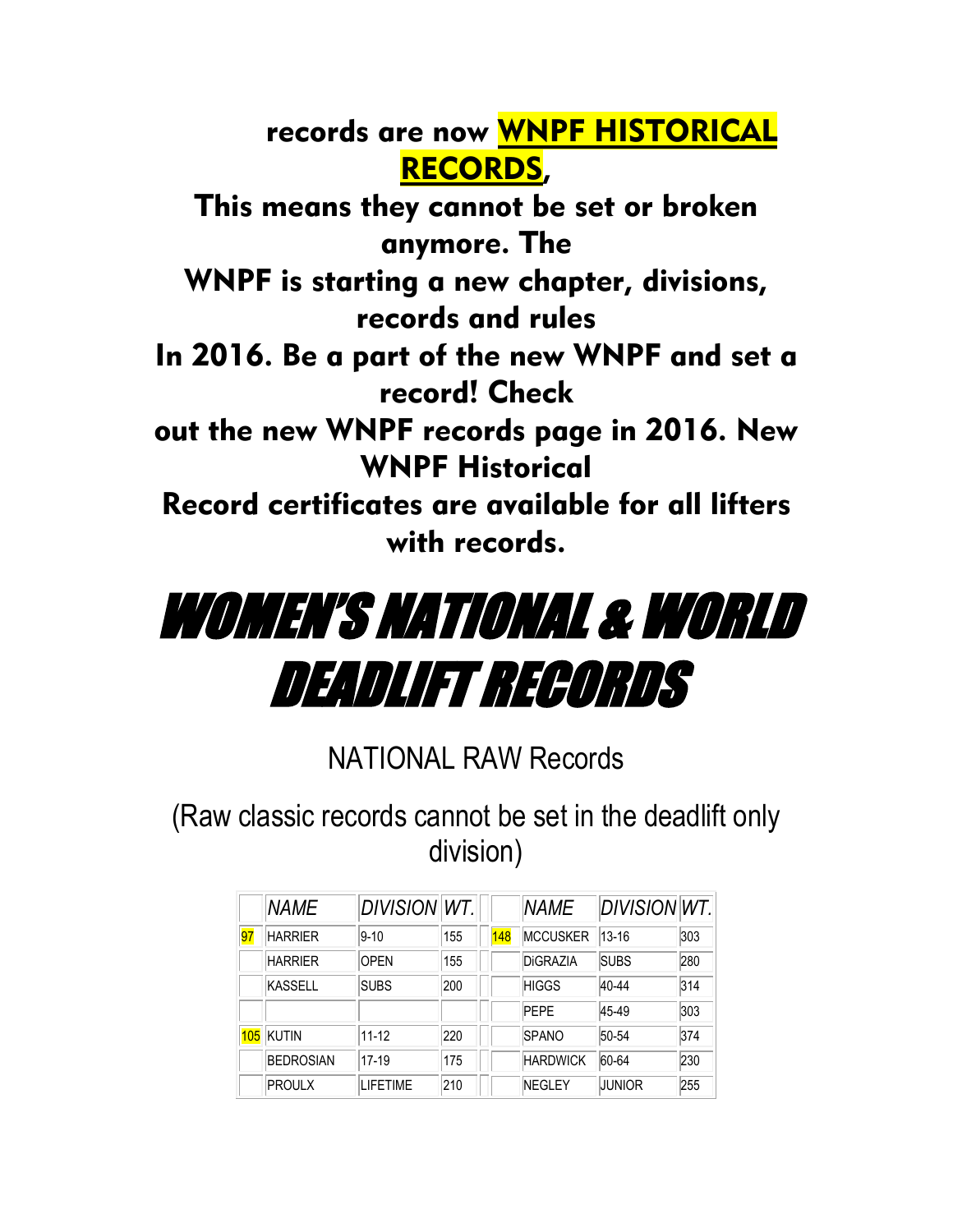records are now WNPF HISTORICAL RECORDS,

This means they cannot be set or broken anymore. The

WNPF is starting a new chapter, divisions, records and rules

In 2016. Be a part of the new WNPF and set a record! Check

out the new WNPF records page in 2016. New WNPF Historical

Record certificates are available for all lifters with records.

## WOMEN'S NATIONAL & WORLD DEADLIFT RECORDS

NATIONAL RAW Records

(Raw classic records cannot be set in the deadlift only division)

|     | <b>NAME</b>      | DIVISION WT.     |     |     | <b>NAME</b>     | <b>DIVISION WT.</b> |     |
|-----|------------------|------------------|-----|-----|-----------------|---------------------|-----|
| 97  | <b>HARRIFR</b>   | $9 - 10$         | 155 | 148 | <b>MCCUSKER</b> | $13 - 16$           | 303 |
|     | <b>HARRIER</b>   | <b>OPEN</b>      | 155 |     | DiGRAZIA        | <b>SUBS</b>         | 280 |
|     | KASSELL          | <b>SUBS</b>      | 200 |     | <b>HIGGS</b>    | 40-44               | 314 |
|     |                  |                  |     |     | <b>PEPE</b>     | 45-49               | 303 |
| 105 | KUTIN            | $11 - 12$        | 220 |     | <b>SPANO</b>    | 50-54               | 374 |
|     | <b>BEDROSIAN</b> | 17-19            | 175 |     | <b>HARDWICK</b> | 60-64               | 230 |
|     | PROULX           | <b>I IFFTIMF</b> | 210 |     | <b>NEGLEY</b>   | JUNIOR              | 255 |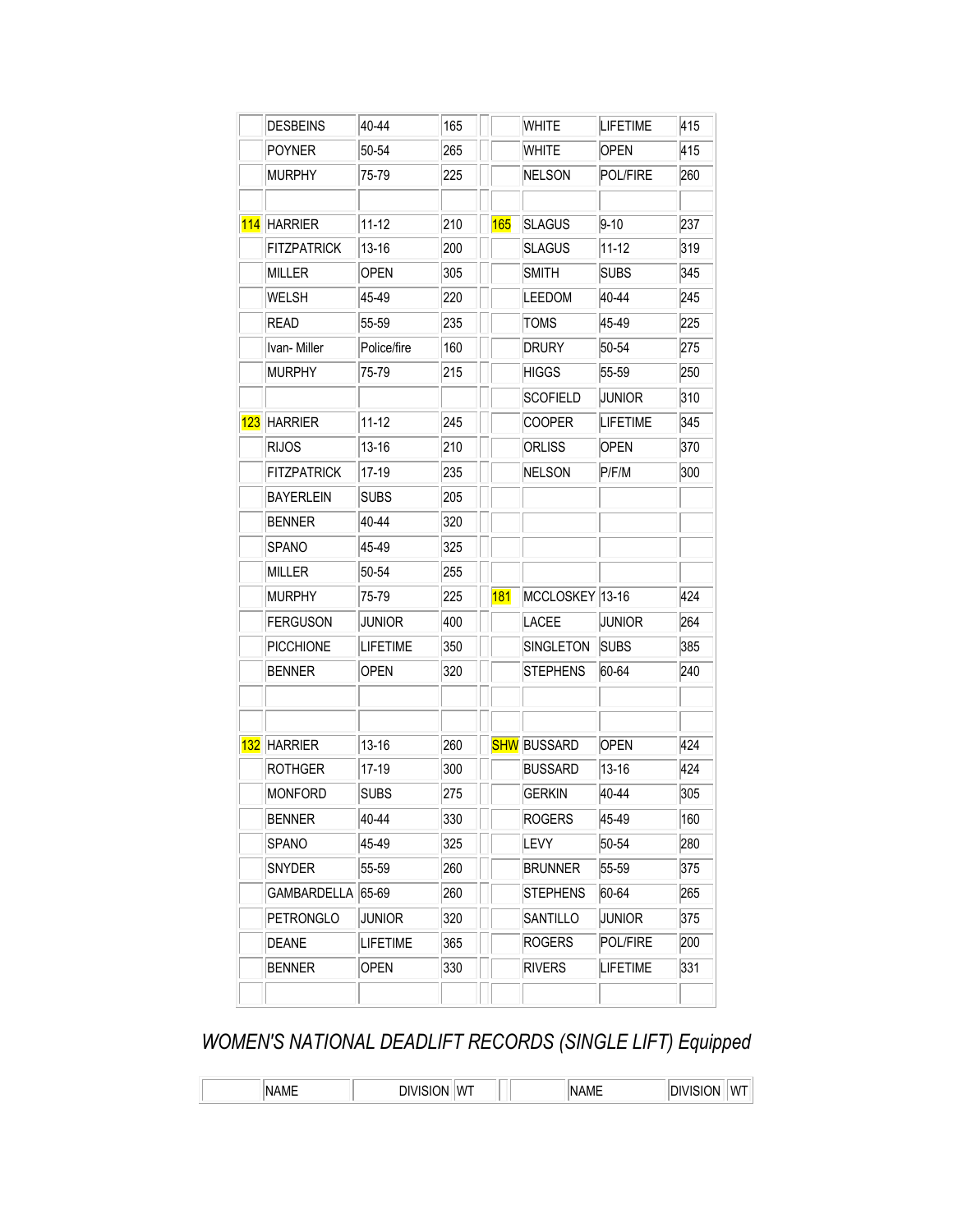|     | <b>DESBEINS</b>    | 40-44           | 165 |            | <b>WHITE</b>       | <b>LIFETIME</b> | 415        |
|-----|--------------------|-----------------|-----|------------|--------------------|-----------------|------------|
|     | <b>POYNER</b>      | 50-54           | 265 |            | <b>WHITE</b>       | <b>OPEN</b>     | 415        |
|     | <b>MURPHY</b>      | 75-79           | 225 |            | <b>NELSON</b>      | POL/FIRE        | 260        |
| 114 | <b>HARRIER</b>     | $11 - 12$       | 210 | <b>165</b> | <b>SLAGUS</b>      | $9 - 10$        | 237        |
|     | <b>FITZPATRICK</b> | 13-16           | 200 |            | <b>SLAGUS</b>      | 11-12           | 319        |
|     | <b>MILLER</b>      | <b>OPEN</b>     | 305 |            | <b>SMITH</b>       | <b>SUBS</b>     | 345        |
|     | WELSH              | 45-49           | 220 |            | <b>LEEDOM</b>      | 40-44           | 245        |
|     | <b>READ</b>        | 55-59           | 235 |            | <b>TOMS</b>        | 45-49           | 225        |
|     | Ivan-Miller        | Police/fire     | 160 |            | <b>DRURY</b>       | 50-54           | 275        |
|     | <b>MURPHY</b>      | 75-79           | 215 |            | <b>HIGGS</b>       | 55-59           | 250        |
|     |                    |                 |     |            | <b>SCOFIELD</b>    | JUNIOR          | 310        |
| 123 | <b>HARRIER</b>     | $11 - 12$       | 245 |            | <b>COOPER</b>      | <b>LIFETIME</b> | 345        |
|     | <b>RIJOS</b>       | 13-16           | 210 |            | ORLISS             | <b>OPEN</b>     | 370        |
|     | <b>FITZPATRICK</b> | 17-19           | 235 |            | <b>NELSON</b>      | P/F/M           | 300        |
|     | <b>BAYERLEIN</b>   | <b>SUBS</b>     | 205 |            |                    |                 |            |
|     | <b>BENNER</b>      | 40-44           | 320 |            |                    |                 |            |
|     | SPANO              | 45-49           | 325 |            |                    |                 |            |
|     | MILLER             | 50-54           | 255 |            |                    |                 |            |
|     | <b>MURPHY</b>      | 75-79           | 225 | <b>181</b> | MCCLOSKEY 13-16    |                 | 424        |
|     | <b>FERGUSON</b>    | <b>JUNIOR</b>   | 400 |            | <b>LACEE</b>       | JUNIOR          | 264        |
|     | <b>PICCHIONE</b>   | <b>LIFETIME</b> | 350 |            | SINGLETON          | <b>SUBS</b>     | 385        |
|     | <b>BENNER</b>      | <b>OPEN</b>     | 320 |            | <b>STEPHENS</b>    | 60-64           | 240        |
| 132 | <b>HARRIER</b>     | 13-16           | 260 |            | <b>SHW</b> BUSSARD | <b>OPEN</b>     | 424        |
|     | ROTHGER            | 17-19           | 300 |            | <b>BUSSARD</b>     | 13-16           | 424        |
|     | <b>MONFORD</b>     | <b>SUBS</b>     | 275 |            | <b>GERKIN</b>      | 40-44           | 305        |
|     | <b>BENNER</b>      | 40-44           | 330 |            | <b>ROGERS</b>      | 45-49           | 160        |
|     | SPANO              | 45-49           | 325 |            | LEVY               | 50-54           | 280        |
|     | SNYDER             |                 | 260 |            | <b>BRUNNER</b>     | 55-59           | 375        |
|     | GAMBARDELLA        | 55-59<br>65-69  | 260 |            | <b>STEPHENS</b>    | 60-64           | 265        |
|     | PETRONGLO          | JUNIOR          | 320 |            | SANTILLO           | Junior          |            |
|     |                    |                 |     |            | <b>ROGERS</b>      | POL/FIRE        | 375<br>200 |
|     | DEANE              | LIFETIME        | 365 |            |                    |                 |            |

## *WOMEN'S NATIONAL DEADLIFT RECORDS (SINGLE LIFT) Equipped*

|  | ١N<br>____ | ΙW | $\cdots$ | w |
|--|------------|----|----------|---|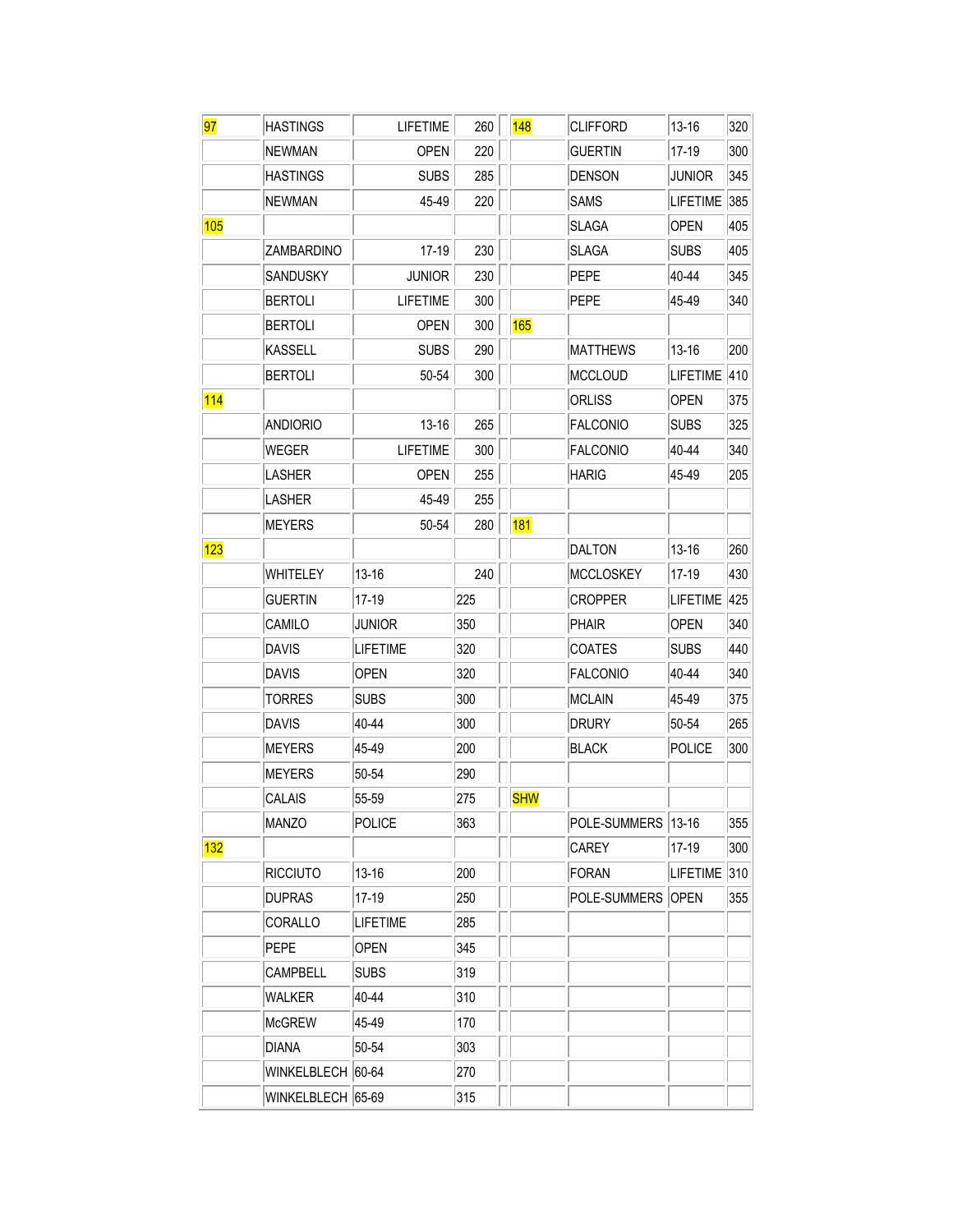| 97         | <b>HASTINGS</b>   | <b>LIFETIME</b> | 260 | <b>148</b> | <b>CLIFFORD</b>    | 13-16           | 320 |
|------------|-------------------|-----------------|-----|------------|--------------------|-----------------|-----|
|            | <b>NEWMAN</b>     | OPEN            | 220 |            | <b>GUERTIN</b>     | 17-19           | 300 |
|            | <b>HASTINGS</b>   | <b>SUBS</b>     | 285 |            | <b>DENSON</b>      | JUNIOR          | 345 |
|            | <b>NEWMAN</b>     | 45-49           | 220 |            | <b>SAMS</b>        | LIFETIME        | 385 |
| 105        |                   |                 |     |            | <b>SLAGA</b>       | <b>OPEN</b>     | 405 |
|            | ZAMBARDINO        | 17-19           | 230 |            | <b>SLAGA</b>       | <b>SUBS</b>     | 405 |
|            | <b>SANDUSKY</b>   | <b>JUNIOR</b>   | 230 |            | <b>PEPE</b>        | 40-44           | 345 |
|            | <b>BERTOLI</b>    | <b>LIFETIME</b> | 300 |            | <b>PEPE</b>        | 45-49           | 340 |
|            | <b>BERTOLI</b>    | <b>OPEN</b>     | 300 | <b>165</b> |                    |                 |     |
|            | <b>KASSELL</b>    | <b>SUBS</b>     | 290 |            | <b>MATTHEWS</b>    | 13-16           | 200 |
|            | <b>BERTOLI</b>    | 50-54           | 300 |            | <b>MCCLOUD</b>     | <b>LIFETIME</b> | 410 |
| 114        |                   |                 |     |            | ORLISS             | OPEN            | 375 |
|            | <b>ANDIORIO</b>   | 13-16           | 265 |            | <b>FALCONIO</b>    | <b>SUBS</b>     | 325 |
|            | WEGER             | <b>LIFETIME</b> | 300 |            | <b>FALCONIO</b>    | 40-44           | 340 |
|            | LASHER            | <b>OPEN</b>     | 255 |            | <b>HARIG</b>       | 45-49           | 205 |
|            | <b>LASHER</b>     | 45-49           | 255 |            |                    |                 |     |
|            | <b>MEYERS</b>     | 50-54           | 280 | <b>181</b> |                    |                 |     |
| 123        |                   |                 |     |            | <b>DALTON</b>      | 13-16           | 260 |
|            | WHITELEY          | 13-16           | 240 |            | <b>MCCLOSKEY</b>   | 17-19           | 430 |
|            | <b>GUERTIN</b>    | 17-19           | 225 |            | <b>CROPPER</b>     | <b>LIFETIME</b> | 425 |
|            | CAMILO            | <b>JUNIOR</b>   | 350 |            | <b>PHAIR</b>       | OPEN            | 340 |
|            | <b>DAVIS</b>      | <b>LIFETIME</b> | 320 |            | <b>COATES</b>      | <b>SUBS</b>     | 440 |
|            | <b>DAVIS</b>      | OPEN            | 320 |            | <b>FALCONIO</b>    | 40-44           | 340 |
|            | TORRES            | <b>SUBS</b>     | 300 |            | <b>MCLAIN</b>      | 45-49           | 375 |
|            | <b>DAVIS</b>      | 40-44           | 300 |            | <b>DRURY</b>       | 50-54           | 265 |
|            | <b>MEYERS</b>     | 45-49           | 200 |            | <b>BLACK</b>       | <b>POLICE</b>   | 300 |
|            | <b>MEYERS</b>     | 50-54           | 290 |            |                    |                 |     |
|            | <b>CALAIS</b>     | 55-59           | 275 | <b>SHW</b> |                    |                 |     |
|            | <b>MANZO</b>      | <b>POLICE</b>   | 363 |            | POLE-SUMMERS 13-16 |                 | 355 |
| <b>132</b> |                   |                 |     |            | <b>CAREY</b>       | 17-19           | 300 |
|            | <b>RICCIUTO</b>   | 13-16           | 200 |            | <b>FORAN</b>       | <b>LIFETIME</b> | 310 |
|            | <b>DUPRAS</b>     | 17-19           | 250 |            | POLE-SUMMERS OPEN  |                 | 355 |
|            | CORALLO           | <b>LIFETIME</b> | 285 |            |                    |                 |     |
|            | <b>PEPE</b>       | <b>OPEN</b>     | 345 |            |                    |                 |     |
|            | CAMPBELL          | <b>SUBS</b>     | 319 |            |                    |                 |     |
|            | WALKER            | 40-44           | 310 |            |                    |                 |     |
|            | <b>McGREW</b>     | 45-49           | 170 |            |                    |                 |     |
|            | <b>DIANA</b>      | 50-54           | 303 |            |                    |                 |     |
|            | WINKELBLECH 60-64 |                 | 270 |            |                    |                 |     |
|            | WINKELBLECH 65-69 |                 | 315 |            |                    |                 |     |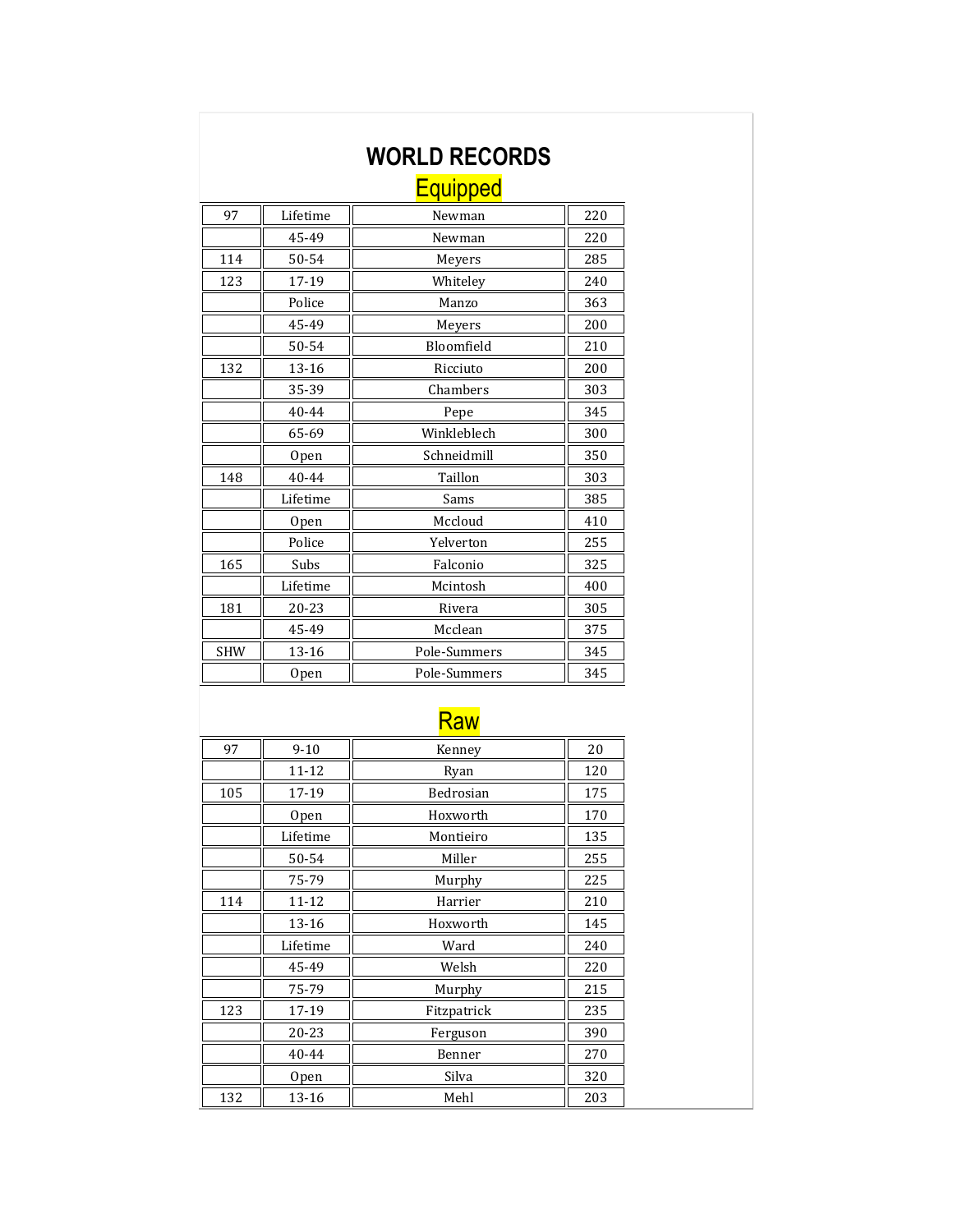|            |                  | <b>WORLD RECORDS</b> |     |
|------------|------------------|----------------------|-----|
|            |                  | <b>Equipped</b>      |     |
| 97         | Lifetime         | Newman               | 220 |
|            | 45-49            | Newman               | 220 |
| 114        | 50-54            | Meyers               | 285 |
| 123        | 17-19            | Whiteley             | 240 |
|            | Police           | Manzo                | 363 |
|            | 45-49            | Meyers               | 200 |
|            | 50-54            | Bloomfield           | 210 |
| 132        | 13-16            | Ricciuto             | 200 |
|            | 35-39            | Chambers             | 303 |
|            | 40-44            | Pepe                 | 345 |
|            | 65-69            | Winkleblech          | 300 |
|            | 0 <sub>pen</sub> | Schneidmill          | 350 |
| 148        | 40-44            | Taillon              | 303 |
|            | Lifetime         | Sams                 | 385 |
|            | <b>Open</b>      | Mccloud              | 410 |
|            | Police           | Yelverton            | 255 |
| 165        | Subs             | Falconio             | 325 |
|            | Lifetime         | Mcintosh             | 400 |
| 181        | 20-23            | Rivera               | 305 |
|            | 45-49            | Mcclean              | 375 |
| <b>SHW</b> | 13-16            | Pole-Summers         | 345 |
|            | Open             | Pole-Summers         | 345 |

## Raw

| 97  | $9 - 10$  | Kenney      | 20  |
|-----|-----------|-------------|-----|
|     | 11-12     | Ryan        | 120 |
| 105 | 17-19     | Bedrosian   | 175 |
|     | Open      | Hoxworth    | 170 |
|     | Lifetime  | Montieiro   | 135 |
|     | 50-54     | Miller      | 255 |
|     | 75-79     | Murphy      | 225 |
| 114 | $11 - 12$ | Harrier     | 210 |
|     | 13-16     | Hoxworth    | 145 |
|     | Lifetime  | Ward        | 240 |
|     | 45-49     | Welsh       | 220 |
|     | 75-79     | Murphy      | 215 |
| 123 | 17-19     | Fitzpatrick | 235 |
|     | 20-23     | Ferguson    | 390 |
|     | 40-44     | Benner      | 270 |
|     | Open      | Silva       | 320 |
| 132 | 13-16     | Mehl        | 203 |